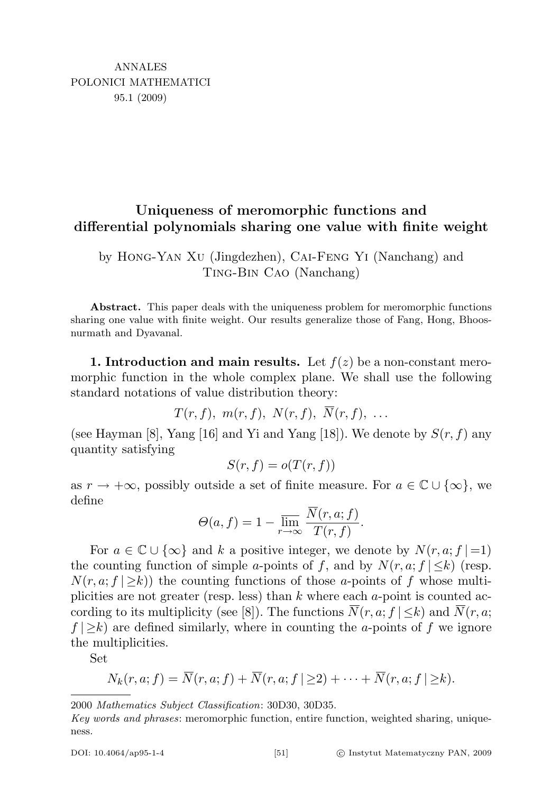# Uniqueness of meromorphic functions and differential polynomials sharing one value with finite weight

by Hong-Yan Xu (Jingdezhen), Cai-Feng Yi (Nanchang) and Ting-Bin Cao (Nanchang)

Abstract. This paper deals with the uniqueness problem for meromorphic functions sharing one value with finite weight. Our results generalize those of Fang, Hong, Bhoosnurmath and Dyavanal.

1. Introduction and main results. Let  $f(z)$  be a non-constant meromorphic function in the whole complex plane. We shall use the following standard notations of value distribution theory:

 $T(r, f), m(r, f), N(r, f), \overline{N}(r, f), \ldots$ 

(see Hayman [8], Yang [16] and Yi and Yang [18]). We denote by  $S(r, f)$  any quantity satisfying

$$
S(r, f) = o(T(r, f))
$$

as  $r \to +\infty$ , possibly outside a set of finite measure. For  $a \in \mathbb{C} \cup \{\infty\}$ , we define

$$
\Theta(a, f) = 1 - \overline{\lim_{r \to \infty}} \frac{\overline{N}(r, a; f)}{T(r, f)}.
$$

For  $a \in \mathbb{C} \cup \{\infty\}$  and k a positive integer, we denote by  $N(r, a; f| = 1)$ the counting function of simple a-points of f, and by  $N(r, a; f | \leq k)$  (resp.  $N(r, a; f | \geq k)$  the counting functions of those a-points of f whose multiplicities are not greater (resp. less) than  $k$  where each  $a$ -point is counted according to its multiplicity (see [8]). The functions  $\overline{N}(r, a; f | \leq k)$  and  $\overline{N}(r, a;$  $f(\geq k)$  are defined similarly, where in counting the *a*-points of f we ignore the multiplicities.

Set

$$
N_k(r, a; f) = \overline{N}(r, a; f) + \overline{N}(r, a; f \mid \geq 2) + \cdots + \overline{N}(r, a; f \mid \geq k).
$$

<sup>2000</sup> Mathematics Subject Classification: 30D30, 30D35.

Key words and phrases: meromorphic function, entire function, weighted sharing, uniqueness.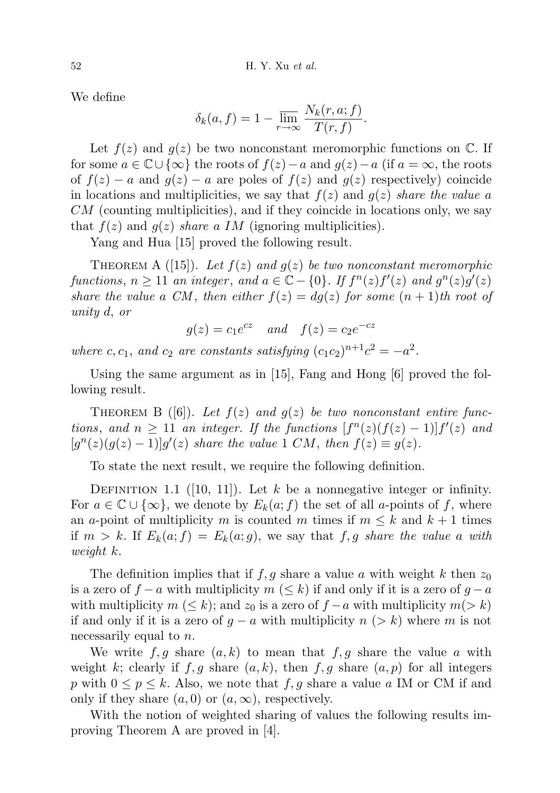We define

$$
\delta_k(a, f) = 1 - \overline{\lim_{r \to \infty}} \, \frac{N_k(r, a; f)}{T(r, f)}.
$$

Let  $f(z)$  and  $g(z)$  be two nonconstant meromorphic functions on  $\mathbb{C}$ . If for some  $a \in \mathbb{C} \cup \{\infty\}$  the roots of  $f(z) - a$  and  $g(z) - a$  (if  $a = \infty$ , the roots of  $f(z) - a$  and  $g(z) - a$  are poles of  $f(z)$  and  $g(z)$  respectively) coincide in locations and multiplicities, we say that  $f(z)$  and  $g(z)$  share the value a  $CM$  (counting multiplicities), and if they coincide in locations only, we say that  $f(z)$  and  $g(z)$  share a IM (ignoring multiplicities).

Yang and Hua [15] proved the following result.

THEOREM A ([15]). Let  $f(z)$  and  $g(z)$  be two nonconstant meromorphic functions,  $n \geq 11$  an integer, and  $a \in \mathbb{C} - \{0\}$ . If  $f^{n}(z) f'(z)$  and  $g^{n}(z)g'(z)$ share the value a CM, then either  $f(z) = dg(z)$  for some  $(n + 1)$ th root of unity d, or

 $g(z) = c_1 e^{cz}$  and  $f(z) = c_2 e^{-cz}$ 

where c, c<sub>1</sub>, and c<sub>2</sub> are constants satisfying  $(c_1c_2)^{n+1}c^2 = -a^2$ .

Using the same argument as in [15], Fang and Hong [6] proved the following result.

THEOREM B ([6]). Let  $f(z)$  and  $g(z)$  be two nonconstant entire functions, and  $n \geq 11$  an integer. If the functions  $[f^{n}(z)(f(z)-1)]f'(z)$  and  $[g<sup>n</sup>(z)(g(z) - 1)]g'(z)$  share the value 1 CM, then  $f(z) \equiv g(z)$ .

To state the next result, we require the following definition.

DEFINITION 1.1 ([10, 11]). Let k be a nonnegative integer or infinity. For  $a \in \mathbb{C} \cup \{\infty\}$ , we denote by  $E_k(a; f)$  the set of all a-points of f, where an a-point of multiplicity m is counted m times if  $m \leq k$  and  $k+1$  times if  $m > k$ . If  $E_k(a; f) = E_k(a; g)$ , we say that f, g share the value a with weight k.

The definition implies that if  $f, g$  share a value a with weight k then  $z_0$ is a zero of  $f - a$  with multiplicity  $m \leq k$  if and only if it is a zero of  $g - a$ with multiplicity  $m \ (\leq k)$ ; and  $z_0$  is a zero of  $f - a$  with multiplicity  $m \ (\geq k)$ if and only if it is a zero of  $g - a$  with multiplicity  $n > k$ ) where m is not necessarily equal to *n*.

We write  $f, g$  share  $(a, k)$  to mean that  $f, g$  share the value a with weight k; clearly if f, g share  $(a, k)$ , then f, g share  $(a, p)$  for all integers p with  $0 \leq p \leq k$ . Also, we note that f, g share a value a IM or CM if and only if they share  $(a, 0)$  or  $(a, \infty)$ , respectively.

With the notion of weighted sharing of values the following results improving Theorem A are proved in [4].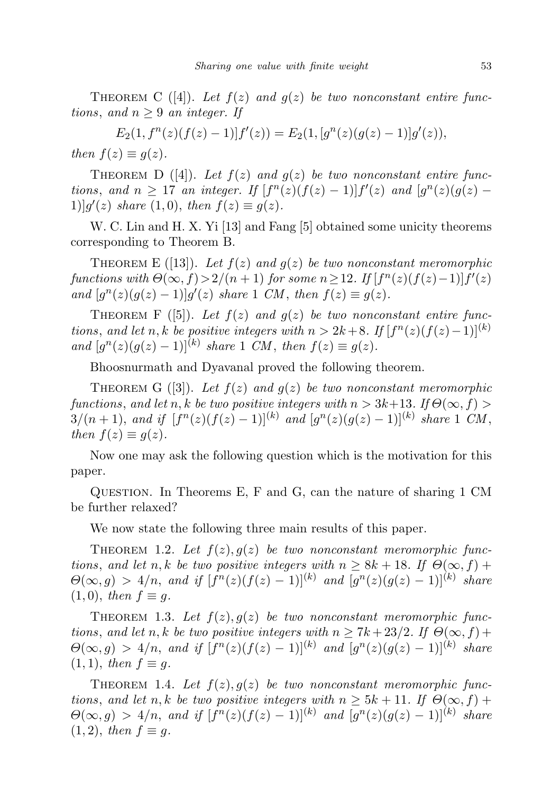THEOREM C ([4]). Let  $f(z)$  and  $g(z)$  be two nonconstant entire functions, and  $n \geq 9$  an integer. If

$$
E_2(1, f^{n}(z)(f(z)-1))f'(z)) = E_2(1, [g^{n}(z)(g(z)-1)]g'(z)),
$$

then  $f(z) \equiv g(z)$ .

THEOREM D ([4]). Let  $f(z)$  and  $g(z)$  be two nonconstant entire functions, and  $n \geq 17$  an integer. If  $[f^{n}(z)(f(z)-1)]f'(z)$  and  $[g^{n}(z)(g(z)-1)]$ 1)] $g'(z)$  share (1,0), then  $f(z) \equiv g(z)$ .

W. C. Lin and H. X. Yi [13] and Fang [5] obtained some unicity theorems corresponding to Theorem B.

THEOREM E ([13]). Let  $f(z)$  and  $g(z)$  be two nonconstant meromorphic functions with  $\Theta(\infty, f) > 2/(n+1)$  for some  $n \geq 12$ . If  $[f^{n}(z)(f(z)-1)]f'(z)$ and  $[g^{n}(z)(g(z)-1)]g'(z)$  share 1 CM, then  $f(z) \equiv g(z)$ .

THEOREM F ([5]). Let  $f(z)$  and  $g(z)$  be two nonconstant entire functions, and let n, k be positive integers with  $n > 2k+8$ . If  $[f^{n}(z)(f(z)-1)]^{(k)}$ and  $[g^{n}(z)(g(z)-1)]^{(k)}$  share 1 CM, then  $f(z) \equiv g(z)$ .

Bhoosnurmath and Dyavanal proved the following theorem.

THEOREM G ([3]). Let  $f(z)$  and  $g(z)$  be two nonconstant meromorphic functions, and let n, k be two positive integers with  $n > 3k+13$ . If  $\Theta(\infty, f)$  $3/(n+1)$ , and if  $[f^n(z)(f(z)-1)]^{(k)}$  and  $[g^n(z)(g(z)-1)]^{(k)}$  share 1 CM, then  $f(z) \equiv g(z)$ .

Now one may ask the following question which is the motivation for this paper.

Question. In Theorems E, F and G, can the nature of sharing 1 CM be further relaxed?

We now state the following three main results of this paper.

THEOREM 1.2. Let  $f(z)$ ,  $g(z)$  be two nonconstant meromorphic functions, and let n, k be two positive integers with  $n \geq 8k + 18$ . If  $\Theta(\infty, f)$  +  $\Theta(\infty, g) > 4/n$ , and if  $[f^{n}(z)(f(z) - 1)]^{(k)}$  and  $[g^{n}(z)(g(z) - 1)]^{(k)}$  share  $(1, 0)$ , then  $f \equiv g$ .

THEOREM 1.3. Let  $f(z)$ ,  $g(z)$  be two nonconstant meromorphic functions, and let n, k be two positive integers with  $n \geq 7k + 23/2$ . If  $\Theta(\infty, f)$  +  $\Theta(\infty, g) > 4/n$ , and if  $[f^n(z)(f(z) - 1)]^{(k)}$  and  $[g^n(z)(g(z) - 1)]^{(k)}$  share  $(1, 1)$ , then  $f \equiv q$ .

THEOREM 1.4. Let  $f(z)$ ,  $g(z)$  be two nonconstant meromorphic functions, and let n, k be two positive integers with  $n \geq 5k + 11$ . If  $\Theta(\infty, f)$  +  $\Theta(\infty, g) > 4/n$ , and if  $[f^{n}(z)(f(z) - 1)]^{(k)}$  and  $[g^{n}(z)(g(z) - 1)]^{(k)}$  share  $(1, 2)$ , then  $f \equiv g$ .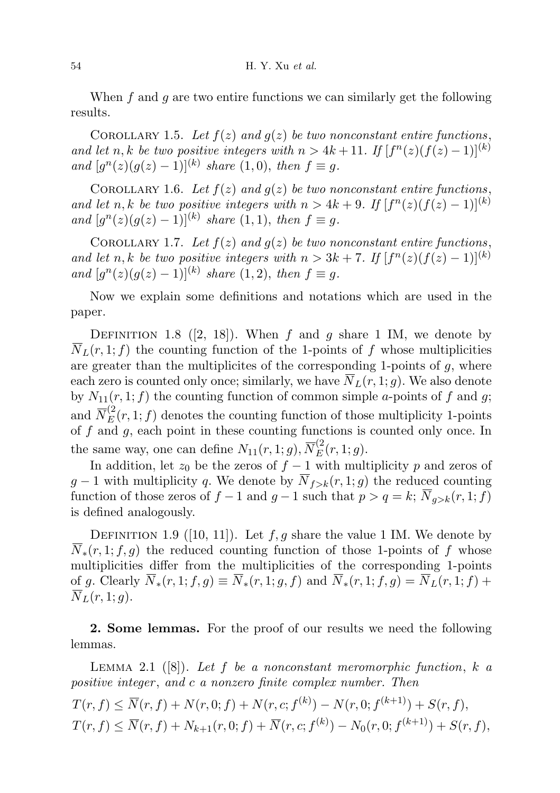When  $f$  and  $g$  are two entire functions we can similarly get the following results.

COROLLARY 1.5. Let  $f(z)$  and  $g(z)$  be two nonconstant entire functions, and let n, k be two positive integers with  $n > 4k + 11$ . If  $[f^{n}(z)(f(z) - 1)]^{(k)}$ and  $[g^{n}(z)(g(z)-1)]^{(k)}$  share  $(1,0)$ , then  $f \equiv g$ .

COROLLARY 1.6. Let  $f(z)$  and  $g(z)$  be two nonconstant entire functions, and let n, k be two positive integers with  $n > 4k + 9$ . If  $[f^{n}(z)(f(z) - 1)]^{(k)}$ and  $[g^{n}(z)(g(z)-1)]^{(k)}$  share  $(1,1)$ , then  $f \equiv g$ .

COROLLARY 1.7. Let  $f(z)$  and  $g(z)$  be two nonconstant entire functions, and let n, k be two positive integers with  $n > 3k + 7$ . If  $[f^{n}(z)(f(z) - 1)]^{(k)}$ and  $[g^{n}(z)(g(z)-1)]^{(k)}$  share  $(1, 2)$ , then  $f \equiv g$ .

Now we explain some definitions and notations which are used in the paper.

DEFINITION 1.8 ([2, 18]). When f and g share 1 IM, we denote by  $\overline{N}_L(r, 1; f)$  the counting function of the 1-points of f whose multiplicities are greater than the multiplicites of the corresponding 1-points of  $q$ , where each zero is counted only once; similarly, we have  $\overline{N}_L(r, 1; g)$ . We also denote by  $N_{11}(r, 1; f)$  the counting function of common simple *a*-points of f and g; and  $\overline{N}_{E}^{(2)}(r,1;f)$  denotes the counting function of those multiplicity 1-points of  $f$  and  $g$ , each point in these counting functions is counted only once. In the same way, one can define  $N_{11}(r, 1; g)$ ,  $\overline{N}_{E}^{(2)}(r, 1; g)$ .

In addition, let  $z_0$  be the zeros of  $f - 1$  with multiplicity p and zeros of  $g-1$  with multiplicity q. We denote by  $\overline{N}_{f>k}(r, 1; g)$  the reduced counting function of those zeros of  $f - 1$  and  $g - 1$  such that  $p > q = k$ ;  $\overline{N}_{q > k}(r, 1; f)$ is defined analogously.

DEFINITION 1.9 ([10, 11]). Let  $f, g$  share the value 1 IM. We denote by  $\overline{N}_{\ast}(r,1;f,g)$  the reduced counting function of those 1-points of f whose multiplicities differ from the multiplicities of the corresponding 1-points of g. Clearly  $\overline{N}_*(r,1;f,g) \equiv \overline{N}_*(r,1;g,f)$  and  $\overline{N}_*(r,1;f,g) = \overline{N}_L(r,1;f) +$  $\overline{N}_L(r, 1; q)$ .

2. Some lemmas. For the proof of our results we need the following lemmas.

LEMMA 2.1 ([8]). Let f be a nonconstant meromorphic function, k a positive integer, and c a nonzero finite complex number. Then

$$
T(r, f) \le \overline{N}(r, f) + N(r, 0; f) + N(r, c; f^{(k)}) - N(r, 0; f^{(k+1)}) + S(r, f),
$$
  
\n
$$
T(r, f) \le \overline{N}(r, f) + N_{k+1}(r, 0; f) + \overline{N}(r, c; f^{(k)}) - N_0(r, 0; f^{(k+1)}) + S(r, f),
$$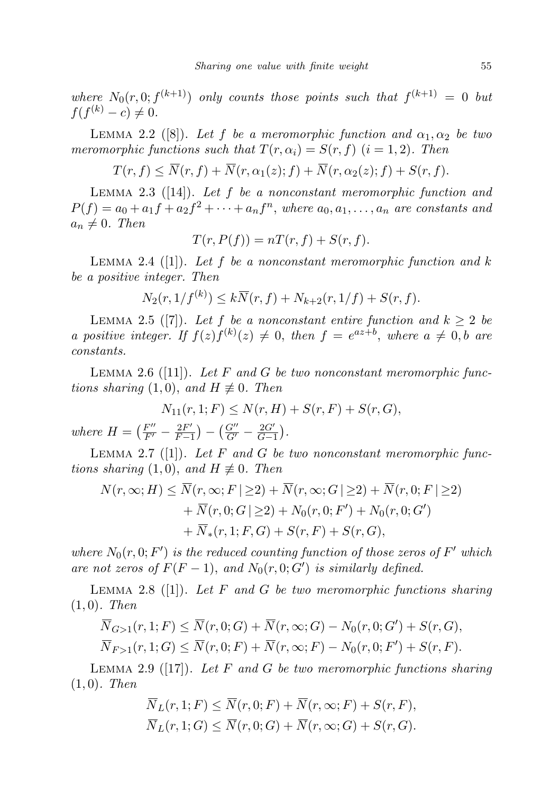where  $N_0(r, 0; f^{(k+1)})$  only counts those points such that  $f^{(k+1)} = 0$  but  $f(f^{(k)} - c) \neq 0.$ 

LEMMA 2.2 ([8]). Let f be a meromorphic function and  $\alpha_1, \alpha_2$  be two meromorphic functions such that  $T(r, \alpha_i) = S(r, f)$   $(i = 1, 2)$ . Then

 $T(r, f) \leq \overline{N}(r, f) + \overline{N}(r, \alpha_1(z); f) + \overline{N}(r, \alpha_2(z); f) + S(r, f).$ 

LEMMA 2.3 ( $[14]$ ). Let f be a nonconstant meromorphic function and  $P(f) = a_0 + a_1f + a_2f^2 + \cdots + a_nf^n$ , where  $a_0, a_1, \ldots, a_n$  are constants and  $a_n \neq 0$ . Then

$$
T(r, P(f)) = nT(r, f) + S(r, f).
$$

LEMMA 2.4 ([1]). Let f be a nonconstant meromorphic function and  $k$ be a positive integer. Then

$$
N_2(r, 1/f^{(k)}) \le k \overline{N}(r, f) + N_{k+2}(r, 1/f) + S(r, f).
$$

LEMMA 2.5 ([7]). Let f be a nonconstant entire function and  $k \geq 2$  be a positive integer. If  $f(z)f^{(k)}(z) \neq 0$ , then  $f = e^{az+b}$ , where  $a \neq 0$ , b are constants.

LEMMA 2.6 ([11]). Let F and G be two nonconstant meromorphic functions sharing (1,0), and  $H \not\equiv 0$ . Then

$$
N_{11}(r, 1; F) \le N(r, H) + S(r, F) + S(r, G),
$$
  
=  $\left(\frac{F''}{F'} - \frac{2F'}{F}\right) - \left(\frac{G''}{F'} - \frac{2G'}{F}\right).$ 

where  $H =$  $\left(\frac{F''}{F'} - \frac{2F'}{F - 1}\right)$  $\frac{2F'}{F-1}$ ) –  $\left(\frac{G''}{G'} - \frac{2G'}{G-1}\right)$  $\frac{2G'}{G-1}$ .

LEMMA 2.7 ([1]). Let  $F$  and  $G$  be two nonconstant meromorphic functions sharing  $(1, 0)$ , and  $H \not\equiv 0$ . Then

$$
N(r, \infty; H) \le \overline{N}(r, \infty; F \mid \ge 2) + \overline{N}(r, \infty; G \mid \ge 2) + \overline{N}(r, 0; F \mid \ge 2)
$$
  
+  $\overline{N}(r, 0; G \mid \ge 2) + N_0(r, 0; F') + N_0(r, 0; G')$   
+  $\overline{N}_*(r, 1; F, G) + S(r, F) + S(r, G),$ 

where  $N_0(r, 0; F')$  is the reduced counting function of those zeros of  $F'$  which are not zeros of  $F(F-1)$ , and  $N_0(r, 0; G')$  is similarly defined.

LEMMA 2.8 (11). Let F and G be two meromorphic functions sharing  $(1, 0)$ . Then

$$
\overline{N}_{G>1}(r,1;F) \leq \overline{N}(r,0;G) + \overline{N}(r,\infty;G) - N_0(r,0;G') + S(r,G),
$$
  

$$
\overline{N}_{F>1}(r,1;G) \leq \overline{N}(r,0;F) + \overline{N}(r,\infty;F) - N_0(r,0;F') + S(r,F).
$$

LEMMA 2.9 ([17]). Let F and G be two meromorphic functions sharing  $(1, 0)$ . Then

$$
\overline{N}_L(r, 1; F) \leq \overline{N}(r, 0; F) + \overline{N}(r, \infty; F) + S(r, F),
$$
  

$$
\overline{N}_L(r, 1; G) \leq \overline{N}(r, 0; G) + \overline{N}(r, \infty; G) + S(r, G).
$$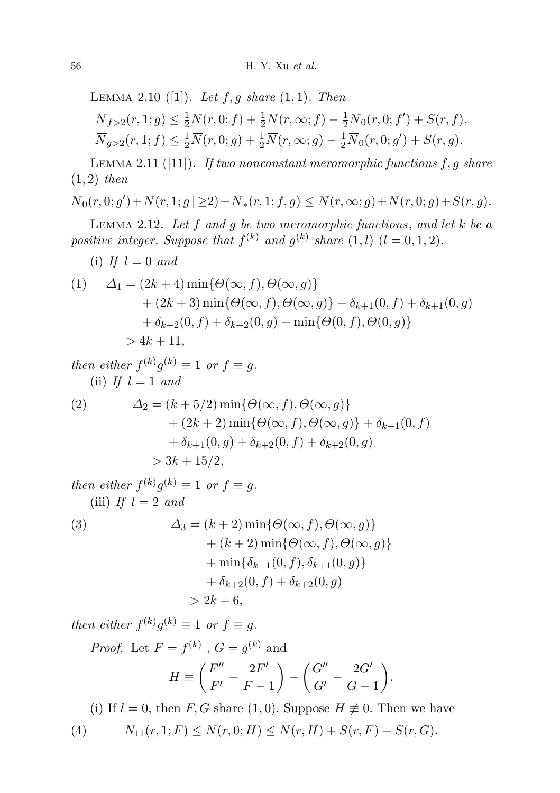LEMMA 2.10 ([1]). Let  $f, g$  share  $(1, 1)$ . Then  $\overline{N}_{f>2}(r, 1; g) \leq \frac{1}{2}\overline{N}(r, 0; f) + \frac{1}{2}\overline{N}(r, \infty; f) - \frac{1}{2}\overline{N}_0(r, 0; f') + S(r, f),$  $\overline{N}_{g>2}(r, 1; f) \leq \frac{1}{2}\overline{N}(r, 0; g) + \frac{1}{2}\overline{N}(r, \infty; g) - \frac{1}{2}\overline{N}_0(r, 0; g') + S(r, g).$ 

LEMMA 2.11 ([11]). If two nonconstant meromorphic functions  $f, g$  share  $(1, 2)$  then

$$
\overline{N}_0(r,0;g') + \overline{N}(r,1;g \mid \geq 2) + \overline{N}_*(r,1;f,g) \leq \overline{N}(r,\infty;g) + \overline{N}(r,0;g) + S(r,g).
$$

LEMMA 2.12. Let  $f$  and  $g$  be two meromorphic functions, and let  $k$  be a positive integer. Suppose that  $f^{(k)}$  and  $g^{(k)}$  share  $(1, l)$   $(l = 0, 1, 2)$ .

(i) If 
$$
l = 0
$$
 and

(1) 
$$
\Delta_1 = (2k+4) \min \{ \Theta(\infty, f), \Theta(\infty, g) \} + (2k+3) \min \{ \Theta(\infty, f), \Theta(\infty, g) \} + \delta_{k+1}(0, f) + \delta_{k+1}(0, g) + \delta_{k+2}(0, f) + \delta_{k+2}(0, g) + \min \{ \Theta(0, f), \Theta(0, g) \} > 4k+11,
$$

then either  $f^{(k)}g^{(k)} \equiv 1$  or  $f \equiv g$ . (ii) If  $l = 1$  and

(2) 
$$
\Delta_2 = (k+5/2) \min{\Theta(\infty, f), \Theta(\infty, g)} + (2k+2) \min{\Theta(\infty, f), \Theta(\infty, g)} + \delta_{k+1}(0, f) + \delta_{k+1}(0, g) + \delta_{k+2}(0, f) + \delta_{k+2}(0, g) > 3k + 15/2,
$$

then either  $f^{(k)}g^{(k)} \equiv 1$  or  $f \equiv g$ . (iii) If  $l = 2$  and

(3) 
$$
\Delta_3 = (k+2) \min \{ \Theta(\infty, f), \Theta(\infty, g) \} + (k+2) \min \{ \Theta(\infty, f), \Theta(\infty, g) \} + \min \{ \delta_{k+1}(0, f), \delta_{k+1}(0, g) \} + \delta_{k+2}(0, f) + \delta_{k+2}(0, g) > 2k + 6,
$$

then either  $f^{(k)}g^{(k)} \equiv 1$  or  $f \equiv g$ .

*Proof.* Let 
$$
F = f^{(k)}
$$
,  $G = g^{(k)}$  and  
\n
$$
H \equiv \left(\frac{F''}{F'} - \frac{2F'}{F - 1}\right) - \left(\frac{G''}{G'} - \frac{2G'}{G - 1}\right).
$$

(i) If  $l = 0$ , then F, G share (1,0). Suppose  $H \not\equiv 0$ . Then we have

(4) 
$$
N_{11}(r, 1; F) \le \overline{N}(r, 0; H) \le N(r, H) + S(r, F) + S(r, G).
$$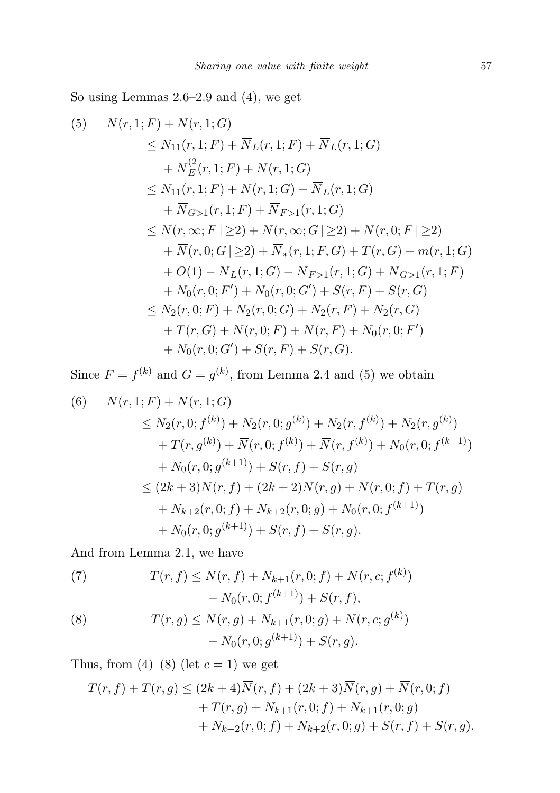So using Lemmas 2.6–2.9 and (4), we get

$$
(5) \quad \overline{N}(r, 1; F) + \overline{N}(r, 1; G) \n\leq N_{11}(r, 1; F) + \overline{N}_L(r, 1; F) + \overline{N}_L(r, 1; G) \n+ \overline{N}_E^2(r, 1; F) + \overline{N}(r, 1; G) \n\leq N_{11}(r, 1; F) + N(r, 1; G) - \overline{N}_L(r, 1; G) \n+ \overline{N}_{G>1}(r, 1; F) + \overline{N}_{F>1}(r, 1; G) \n\leq \overline{N}(r, \infty; F | \geq 2) + \overline{N}(r, \infty; G | \geq 2) + \overline{N}(r, 0; F | \geq 2) \n+ \overline{N}(r, 0; G | \geq 2) + \overline{N}_*(r, 1; F, G) + T(r, G) - m(r, 1; G) \n+ O(1) - \overline{N}_L(r, 1; G) - \overline{N}_{F>1}(r, 1; G) + \overline{N}_{G>1}(r, 1; F) \n+ N_0(r, 0; F') + N_0(r, 0; G') + S(r, F) + S(r, G) \n\leq N_2(r, 0; F) + N_2(r, 0; G) + N_2(r, F) + N_2(r, G) \n+ T(r, G) + \overline{N}(r, 0; F) + \overline{N}(r, F) + N_0(r, 0; F') \n+ N_0(r, 0; G') + S(r, F) + S(r, G).
$$

Since  $F = f^{(k)}$  and  $G = g^{(k)}$ , from Lemma 2.4 and (5) we obtain

(6) 
$$
\overline{N}(r, 1; F) + \overline{N}(r, 1; G)
$$
  
\n
$$
\leq N_2(r, 0; f^{(k)}) + N_2(r, 0; g^{(k)}) + N_2(r, f^{(k)}) + N_2(r, g^{(k)})
$$
  
\n
$$
+ T(r, g^{(k)}) + \overline{N}(r, 0; f^{(k)}) + \overline{N}(r, f^{(k)}) + N_0(r, 0; f^{(k+1)})
$$
  
\n
$$
+ N_0(r, 0; g^{(k+1)}) + S(r, f) + S(r, g)
$$
  
\n
$$
\leq (2k+3)\overline{N}(r, f) + (2k+2)\overline{N}(r, g) + \overline{N}(r, 0; f) + T(r, g)
$$
  
\n
$$
+ N_{k+2}(r, 0; f) + N_{k+2}(r, 0; g) + N_0(r, 0; f^{(k+1)})
$$
  
\n
$$
+ N_0(r, 0; g^{(k+1)}) + S(r, f) + S(r, g).
$$

And from Lemma 2.1, we have

(7) 
$$
T(r, f) \leq \overline{N}(r, f) + N_{k+1}(r, 0; f) + \overline{N}(r, c; f^{(k)}) - N_0(r, 0; f^{(k+1)}) + S(r, f),
$$

(8) 
$$
T(r,g) \leq \overline{N}(r,g) + N_{k+1}(r,0;g) + \overline{N}(r,c;g^{(k)}) - N_0(r,0;g^{(k+1)}) + S(r,g).
$$

Thus, from  $(4)-(8)$  (let  $c=1$ ) we get

$$
T(r, f) + T(r, g) \le (2k+4)\overline{N}(r, f) + (2k+3)\overline{N}(r, g) + \overline{N}(r, 0; f) + T(r, g) + N_{k+1}(r, 0; f) + N_{k+1}(r, 0; g) + N_{k+2}(r, 0; f) + N_{k+2}(r, 0; g) + S(r, f) + S(r, g).
$$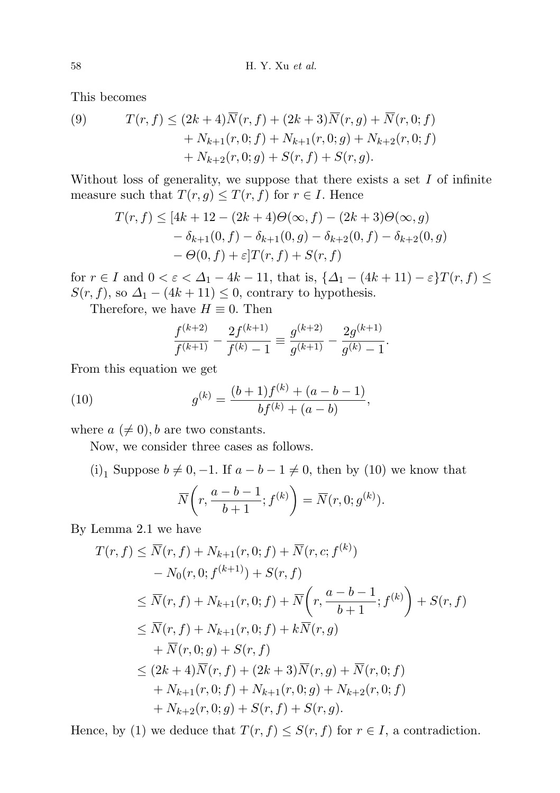This becomes

(9) 
$$
T(r, f) \le (2k+4)\overline{N}(r, f) + (2k+3)\overline{N}(r, g) + \overline{N}(r, 0; f) + N_{k+1}(r, 0; f) + N_{k+1}(r, 0; g) + N_{k+2}(r, 0; f) + N_{k+2}(r, 0; g) + S(r, f) + S(r, g).
$$

Without loss of generality, we suppose that there exists a set  $I$  of infinite measure such that  $T(r, g) \leq T(r, f)$  for  $r \in I$ . Hence

$$
T(r, f) \le [4k + 12 - (2k + 4)\Theta(\infty, f) - (2k + 3)\Theta(\infty, g) - \delta_{k+1}(0, f) - \delta_{k+1}(0, g) - \delta_{k+2}(0, f) - \delta_{k+2}(0, g) - \Theta(0, f) + \varepsilon]T(r, f) + S(r, f)
$$

for  $r \in I$  and  $0 < \varepsilon < \Delta_1 - 4k - 11$ , that is,  $\{\Delta_1 - (4k + 11) - \varepsilon\}T(r, f) \le$  $S(r, f)$ , so  $\Delta_1 - (4k + 11) \leq 0$ , contrary to hypothesis.

Therefore, we have  $H \equiv 0$ . Then

$$
\frac{f^{(k+2)}}{f^{(k+1)}} - \frac{2f^{(k+1)}}{f^{(k)} - 1} \equiv \frac{g^{(k+2)}}{g^{(k+1)}} - \frac{2g^{(k+1)}}{g^{(k)} - 1}.
$$

From this equation we get

(10) 
$$
g^{(k)} = \frac{(b+1)f^{(k)} + (a-b-1)}{bf^{(k)} + (a-b)},
$$

where  $a \neq 0$ , b are two constants.

Now, we consider three cases as follows.

(i)<sub>1</sub> Suppose  $b \neq 0, -1$ . If  $a - b - 1 \neq 0$ , then by (10) we know that

$$
\overline{N}\bigg(r, \frac{a-b-1}{b+1}; f^{(k)}\bigg) = \overline{N}(r, 0; g^{(k)}).
$$

By Lemma 2.1 we have

$$
T(r, f) \leq \overline{N}(r, f) + N_{k+1}(r, 0; f) + \overline{N}(r, c; f^{(k)})
$$
  
\n
$$
- N_0(r, 0; f^{(k+1)}) + S(r, f)
$$
  
\n
$$
\leq \overline{N}(r, f) + N_{k+1}(r, 0; f) + \overline{N}\left(r, \frac{a-b-1}{b+1}; f^{(k)}\right) + S(r, f)
$$
  
\n
$$
\leq \overline{N}(r, f) + N_{k+1}(r, 0; f) + k\overline{N}(r, g)
$$
  
\n
$$
+ \overline{N}(r, 0; g) + S(r, f)
$$
  
\n
$$
\leq (2k+4)\overline{N}(r, f) + (2k+3)\overline{N}(r, g) + \overline{N}(r, 0; f)
$$
  
\n
$$
+ N_{k+1}(r, 0; f) + N_{k+1}(r, 0; g) + N_{k+2}(r, 0; f)
$$
  
\n
$$
+ N_{k+2}(r, 0; g) + S(r, f) + S(r, g).
$$

Hence, by (1) we deduce that  $T(r, f) \leq S(r, f)$  for  $r \in I$ , a contradiction.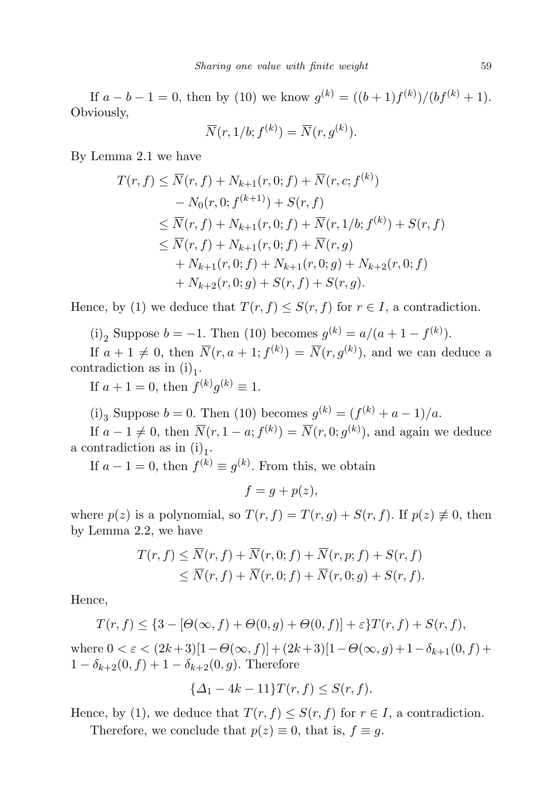If  $a - b - 1 = 0$ , then by (10) we know  $g^{(k)} = ((b+1)f^{(k)})/(bf^{(k)}+1)$ . Obviously,

$$
\overline{N}(r,1/b; f^{(k)}) = \overline{N}(r,g^{(k)}).
$$

By Lemma 2.1 we have

$$
T(r, f) \leq \overline{N}(r, f) + N_{k+1}(r, 0; f) + \overline{N}(r, c; f^{(k)})
$$
  
\n
$$
- N_0(r, 0; f^{(k+1)}) + S(r, f)
$$
  
\n
$$
\leq \overline{N}(r, f) + N_{k+1}(r, 0; f) + \overline{N}(r, 1/b; f^{(k)}) + S(r, f)
$$
  
\n
$$
\leq \overline{N}(r, f) + N_{k+1}(r, 0; f) + \overline{N}(r, g)
$$
  
\n
$$
+ N_{k+1}(r, 0; f) + N_{k+1}(r, 0; g) + N_{k+2}(r, 0; f)
$$
  
\n
$$
+ N_{k+2}(r, 0; g) + S(r, f) + S(r, g).
$$

Hence, by (1) we deduce that  $T(r, f) \leq S(r, f)$  for  $r \in I$ , a contradiction.

(i)<sub>2</sub> Suppose  $b = -1$ . Then (10) becomes  $g^{(k)} = a/(a+1-f^{(k)})$ .

If  $a + 1 \neq 0$ , then  $\overline{N}(r, a + 1; f^{(k)}) = \overline{N}(r, g^{(k)})$ , and we can deduce a contradiction as in  $(i)_1$ .

If  $a + 1 = 0$ , then  $f^{(k)}g^{(k)} \equiv 1$ .

(i)<sub>3</sub> Suppose  $b = 0$ . Then (10) becomes  $g^{(k)} = (f^{(k)} + a - 1)/a$ .

If  $a - 1 \neq 0$ , then  $\overline{N}(r, 1 - a; f^{(k)}) = \overline{N}(r, 0; g^{(k)})$ , and again we deduce a contradiction as in  $(i)_1$ .

If  $a - 1 = 0$ , then  $f^{(k)} \equiv g^{(k)}$ . From this, we obtain

 $f = q + p(z),$ 

where  $p(z)$  is a polynomial, so  $T(r, f) = T(r, g) + S(r, f)$ . If  $p(z) \neq 0$ , then by Lemma 2.2, we have

$$
T(r, f) \leq \overline{N}(r, f) + \overline{N}(r, 0; f) + \overline{N}(r, p; f) + S(r, f)
$$
  
 
$$
\leq \overline{N}(r, f) + \overline{N}(r, 0; f) + \overline{N}(r, 0; g) + S(r, f).
$$

Hence,

$$
T(r, f) \leq \{3 - [\Theta(\infty, f) + \Theta(0, g) + \Theta(0, f)] + \varepsilon\}T(r, f) + S(r, f),
$$

where  $0 < \varepsilon < (2k+3)[1-\Theta(\infty, f)] + (2k+3)[1-\Theta(\infty, g)+1-\delta_{k+1}(0, f)+$  $1 - \delta_{k+2}(0, f) + 1 - \delta_{k+2}(0, g)$ . Therefore

$$
\{\Delta_1 - 4k - 11\} T(r, f) \le S(r, f).
$$

Hence, by (1), we deduce that  $T(r, f) \leq S(r, f)$  for  $r \in I$ , a contradiction.

Therefore, we conclude that  $p(z) \equiv 0$ , that is,  $f \equiv g$ .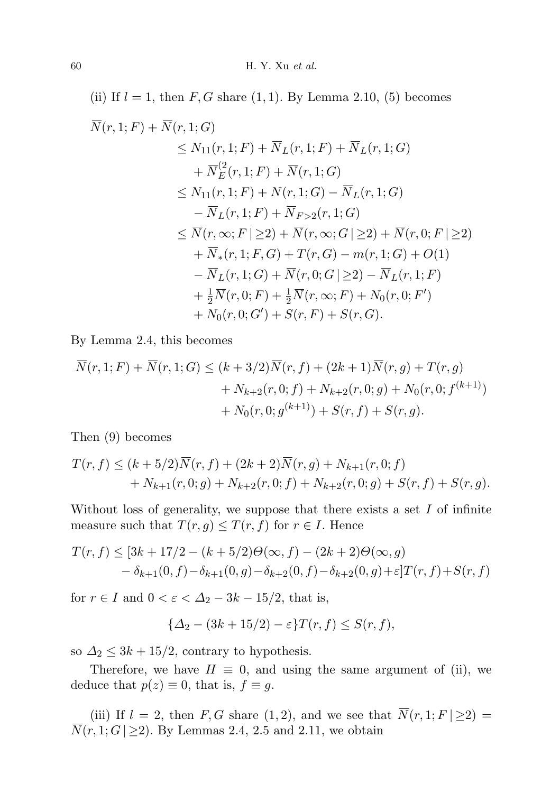(ii) If  $l = 1$ , then  $F, G$  share  $(1, 1)$ . By Lemma 2.10, (5) becomes

$$
\overline{N}(r,1;F) + \overline{N}(r,1;G)
$$
\n
$$
\leq N_{11}(r,1;F) + \overline{N}_L(r,1;F) + \overline{N}_L(r,1;G)
$$
\n
$$
+ \overline{N}_E^2(r,1;F) + \overline{N}(r,1;G)
$$
\n
$$
\leq N_{11}(r,1;F) + N(r,1;G) - \overline{N}_L(r,1;G)
$$
\n
$$
- \overline{N}_L(r,1;F) + \overline{N}_{F>2}(r,1;G)
$$
\n
$$
\leq \overline{N}(r,\infty;F|\geq 2) + \overline{N}(r,\infty;G|\geq 2) + \overline{N}(r,0;F|\geq 2)
$$
\n
$$
+ \overline{N}_*(r,1;F,G) + T(r,G) - m(r,1;G) + O(1)
$$
\n
$$
- \overline{N}_L(r,1;G) + \overline{N}(r,0;G|\geq 2) - \overline{N}_L(r,1;F)
$$
\n
$$
+ \frac{1}{2}\overline{N}(r,0;F) + \frac{1}{2}\overline{N}(r,\infty;F) + N_0(r,0;F')
$$
\n
$$
+ N_0(r,0;G') + S(r,F) + S(r,G).
$$

By Lemma 2.4, this becomes

$$
\overline{N}(r, 1; F) + \overline{N}(r, 1; G) \le (k + 3/2)\overline{N}(r, f) + (2k + 1)\overline{N}(r, g) + T(r, g) \n+ N_{k+2}(r, 0; f) + N_{k+2}(r, 0; g) + N_0(r, 0; f^{(k+1)}) \n+ N_0(r, 0; g^{(k+1)}) + S(r, f) + S(r, g).
$$

Then (9) becomes

$$
T(r, f) \le (k + 5/2)\overline{N}(r, f) + (2k + 2)\overline{N}(r, g) + N_{k+1}(r, 0; f) + N_{k+1}(r, 0; g) + N_{k+2}(r, 0; f) + N_{k+2}(r, 0; g) + S(r, f) + S(r, g).
$$

Without loss of generality, we suppose that there exists a set  $I$  of infinite measure such that  $T(r, g) \leq T(r, f)$  for  $r \in I$ . Hence

$$
T(r, f) \le [3k + 17/2 - (k + 5/2)\Theta(\infty, f) - (2k + 2)\Theta(\infty, g) - \delta_{k+1}(0, f) - \delta_{k+1}(0, g) - \delta_{k+2}(0, f) - \delta_{k+2}(0, g) + \varepsilon]T(r, f) + S(r, f)
$$

for  $r \in I$  and  $0 < \varepsilon < \Delta_2 - 3k - 15/2$ , that is,

$$
\{\Delta_2 - (3k + 15/2) - \varepsilon\} T(r, f) \le S(r, f),
$$

so  $\Delta_2 \leq 3k + 15/2$ , contrary to hypothesis.

Therefore, we have  $H \equiv 0$ , and using the same argument of (ii), we deduce that  $p(z) \equiv 0$ , that is,  $f \equiv g$ .

(iii) If  $l = 2$ , then F, G share (1, 2), and we see that  $\overline{N}(r, 1; F \mid \geq 2)$  $\overline{N}(r, 1; G | \geq 2)$ . By Lemmas 2.4, 2.5 and 2.11, we obtain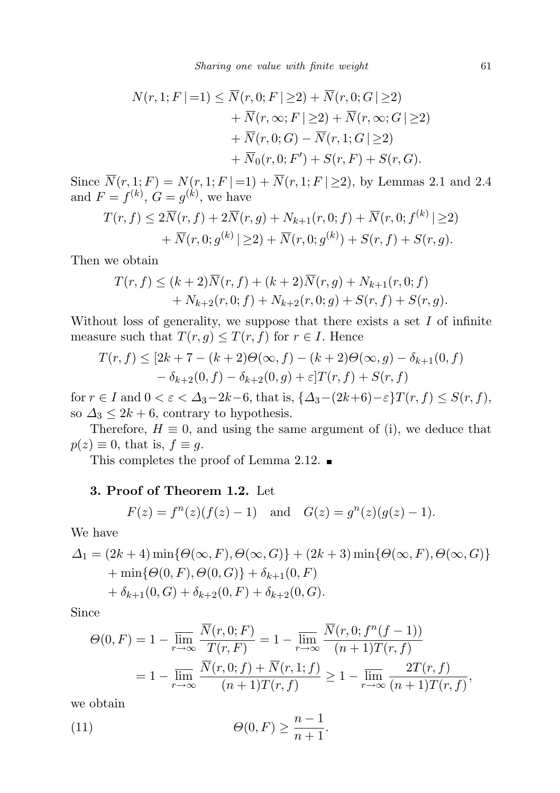$$
N(r, 1; F | =1) \leq \overline{N}(r, 0; F | \geq 2) + \overline{N}(r, 0; G | \geq 2)
$$
  
+  $\overline{N}(r, \infty; F | \geq 2) + \overline{N}(r, \infty; G | \geq 2)$   
+  $\overline{N}(r, 0; G) - \overline{N}(r, 1; G | \geq 2)$   
+  $\overline{N}_0(r, 0; F') + S(r, F) + S(r, G).$ 

Since  $\overline{N}(r, 1; F) = N(r, 1; F \mid =1) + \overline{N}(r, 1; F \mid \geq 2)$ , by Lemmas 2.1 and 2.4 and  $F = f^{(k)}$ ,  $G = g^{(k)}$ , we have  $\lambda$ 

$$
T(r, f) \le 2\overline{N}(r, f) + 2\overline{N}(r, g) + N_{k+1}(r, 0; f) + \overline{N}(r, 0; f^{(k)} | \ge 2) + \overline{N}(r, 0; g^{(k)} | \ge 2) + \overline{N}(r, 0; g^{(k)}) + S(r, f) + S(r, g).
$$

Then we obtain

$$
T(r, f) \le (k+2)\overline{N}(r, f) + (k+2)\overline{N}(r, g) + N_{k+1}(r, 0; f) + N_{k+2}(r, 0; f) + N_{k+2}(r, 0; g) + S(r, f) + S(r, g).
$$

Without loss of generality, we suppose that there exists a set  $I$  of infinite measure such that  $T(r, g) \leq T(r, f)$  for  $r \in I$ . Hence

$$
T(r, f) \le [2k + 7 - (k+2)\Theta(\infty, f) - (k+2)\Theta(\infty, g) - \delta_{k+1}(0, f) - \delta_{k+2}(0, f) - \delta_{k+2}(0, g) + \varepsilon]T(r, f) + S(r, f)
$$

for  $r \in I$  and  $0 < \varepsilon < \Delta_3 - 2k - 6$ , that is,  $\{\Delta_3 - (2k+6) - \varepsilon\}T(r, f) \leq S(r, f)$ , so  $\Delta_3 \leq 2k + 6$ , contrary to hypothesis.

Therefore,  $H \equiv 0$ , and using the same argument of (i), we deduce that  $p(z) \equiv 0$ , that is,  $f \equiv g$ .

This completes the proof of Lemma 2.12.  $\blacksquare$ 

## 3. Proof of Theorem 1.2. Let

$$
F(z) = f^{n}(z)(f(z) - 1)
$$
 and  $G(z) = g^{n}(z)(g(z) - 1)$ .

We have

$$
\Delta_1 = (2k+4) \min \{ \Theta(\infty, F), \Theta(\infty, G) \} + (2k+3) \min \{ \Theta(\infty, F), \Theta(\infty, G) \} + \min \{ \Theta(0, F), \Theta(0, G) \} + \delta_{k+1}(0, F) + \delta_{k+1}(0, G) + \delta_{k+2}(0, F) + \delta_{k+2}(0, G).
$$

Since

$$
\Theta(0, F) = 1 - \overline{\lim}_{r \to \infty} \frac{\overline{N}(r, 0; F)}{T(r, F)} = 1 - \overline{\lim}_{r \to \infty} \frac{\overline{N}(r, 0; f^n(f - 1))}{(n + 1)T(r, f)}
$$
  
= 
$$
1 - \overline{\lim}_{r \to \infty} \frac{\overline{N}(r, 0; f) + \overline{N}(r, 1; f)}{(n + 1)T(r, f)} \ge 1 - \overline{\lim}_{r \to \infty} \frac{2T(r, f)}{(n + 1)T(r, f)},
$$

we obtain

(11) 
$$
\Theta(0, F) \geq \frac{n-1}{n+1}.
$$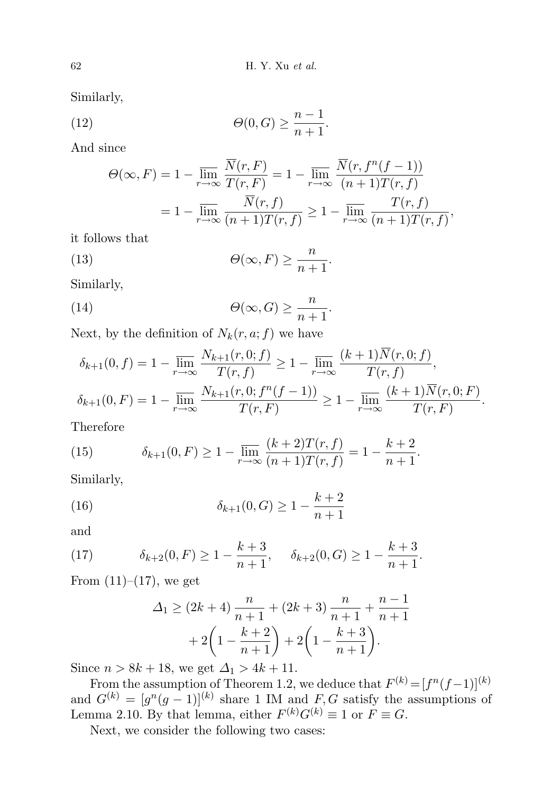Similarly,

(12) 
$$
\Theta(0, G) \ge \frac{n-1}{n+1}.
$$

And since

$$
\Theta(\infty, F) = 1 - \overline{\lim}_{r \to \infty} \frac{\overline{N}(r, F)}{T(r, F)} = 1 - \overline{\lim}_{r \to \infty} \frac{\overline{N}(r, f^n(f - 1))}{(n + 1)T(r, f)}
$$

$$
= 1 - \overline{\lim}_{r \to \infty} \frac{\overline{N}(r, f)}{(n + 1)T(r, f)} \ge 1 - \overline{\lim}_{r \to \infty} \frac{T(r, f)}{(n + 1)T(r, f)},
$$

it follows that

(13) 
$$
\Theta(\infty, F) \ge \frac{n}{n+1}.
$$

Similarly,

(14) 
$$
\Theta(\infty, G) \ge \frac{n}{n+1}.
$$

Next, by the definition of  $N_k(r, a; f)$  we have

$$
\delta_{k+1}(0, f) = 1 - \overline{\lim}_{r \to \infty} \frac{N_{k+1}(r, 0; f)}{T(r, f)} \ge 1 - \overline{\lim}_{r \to \infty} \frac{(k+1)N(r, 0; f)}{T(r, f)},
$$
  

$$
\delta_{k+1}(0, F) = 1 - \overline{\lim}_{r \to \infty} \frac{N_{k+1}(r, 0; f^n(f-1))}{T(r, F)} \ge 1 - \overline{\lim}_{r \to \infty} \frac{(k+1)\overline{N}(r, 0; F)}{T(r, F)}.
$$

Therefore

(15) 
$$
\delta_{k+1}(0, F) \ge 1 - \overline{\lim_{r \to \infty}} \frac{(k+2)T(r, f)}{(n+1)T(r, f)} = 1 - \frac{k+2}{n+1}.
$$

Similarly,

(16) 
$$
\delta_{k+1}(0, G) \ge 1 - \frac{k+2}{n+1}
$$

and

(17) 
$$
\delta_{k+2}(0, F) \ge 1 - \frac{k+3}{n+1}, \quad \delta_{k+2}(0, G) \ge 1 - \frac{k+3}{n+1}.
$$

From  $(11)–(17)$ , we get

$$
\Delta_1 \ge (2k+4)\frac{n}{n+1} + (2k+3)\frac{n}{n+1} + \frac{n-1}{n+1} + 2\left(1 - \frac{k+2}{n+1}\right) + 2\left(1 - \frac{k+3}{n+1}\right).
$$

Since  $n > 8k + 18$ , we get  $\Delta_1 > 4k + 11$ .

From the assumption of Theorem 1.2, we deduce that  $F^{(k)} = [f^n(f-1)]^{(k)}$ and  $G^{(k)} = [g^n(g-1)]^{(k)}$  share 1 IM and F, G satisfy the assumptions of Lemma 2.10. By that lemma, either  $F^{(k)}G^{(k)} \equiv 1$  or  $F \equiv G$ .

Next, we consider the following two cases: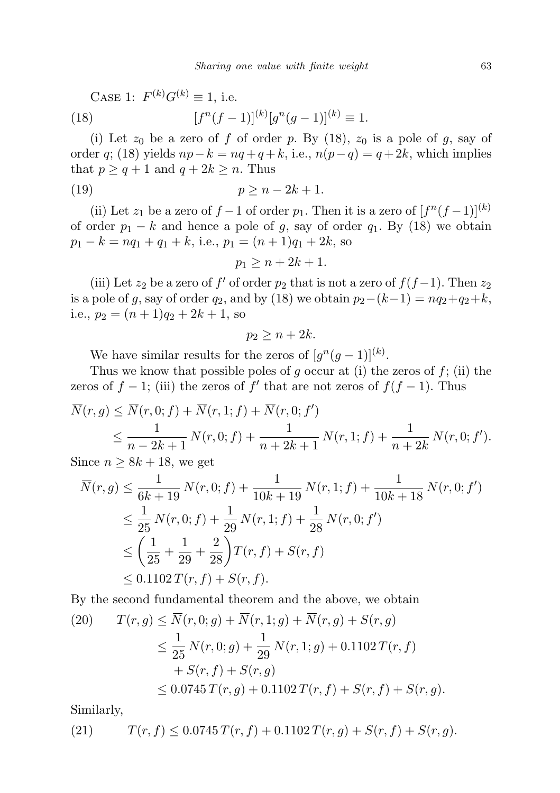CASE 1:  $F^{(k)}G^{(k)} \equiv 1$ , i.e.  $(18)$  $\binom{n}{f-1}^{(k)}[g^n(g-1)]^{(k)}\equiv 1.$ 

(i) Let  $z_0$  be a zero of f of order p. By (18),  $z_0$  is a pole of g, say of order q; (18) yields  $np-k = nq + q + k$ , i.e.,  $n(p-q) = q+2k$ , which implies that  $p \ge q + 1$  and  $q + 2k \ge n$ . Thus

$$
(19) \t\t\t\t\t p \ge n - 2k + 1.
$$

(ii) Let  $z_1$  be a zero of  $f-1$  of order  $p_1$ . Then it is a zero of  $[f^n(f-1)]^{(k)}$ of order  $p_1 - k$  and hence a pole of g, say of order  $q_1$ . By (18) we obtain  $p_1 - k = nq_1 + q_1 + k$ , i.e.,  $p_1 = (n+1)q_1 + 2k$ , so

$$
p_1 \ge n + 2k + 1.
$$

(iii) Let  $z_2$  be a zero of f' of order  $p_2$  that is not a zero of  $f(f-1)$ . Then  $z_2$ is a pole of g, say of order  $q_2$ , and by (18) we obtain  $p_2-(k-1) = nq_2+q_2+k$ , i.e.,  $p_2 = (n+1)q_2 + 2k + 1$ , so

$$
p_2 \ge n + 2k.
$$

We have similar results for the zeros of  $[g^{n}(g-1)]^{(k)}$ .

Thus we know that possible poles of g occur at (i) the zeros of  $f$ ; (ii) the zeros of  $f - 1$ ; (iii) the zeros of  $f'$  that are not zeros of  $f(f - 1)$ . Thus

$$
\overline{N}(r, g) \leq \overline{N}(r, 0; f) + \overline{N}(r, 1; f) + \overline{N}(r, 0; f')
$$
\n
$$
\leq \frac{1}{n - 2k + 1} N(r, 0; f) + \frac{1}{n + 2k + 1} N(r, 1; f) + \frac{1}{n + 2k} N(r, 0; f').
$$
\nSince  $S_n = \{1, 1\}$ ,  $S_n = \{1, 2, \ldots, n\}$  is the set of  $n + 2k + 1$ .

Since  $n \geq 8k + 18$ , we get

$$
\overline{N}(r,g) \leq \frac{1}{6k+19} N(r,0;f) + \frac{1}{10k+19} N(r,1;f) + \frac{1}{10k+18} N(r,0;f')
$$
\n
$$
\leq \frac{1}{25} N(r,0;f) + \frac{1}{29} N(r,1;f) + \frac{1}{28} N(r,0;f')
$$
\n
$$
\leq \left(\frac{1}{25} + \frac{1}{29} + \frac{2}{28}\right) T(r,f) + S(r,f)
$$
\n
$$
\leq 0.1102 T(r,f) + S(r,f).
$$

By the second fundamental theorem and the above, we obtain

(20) 
$$
T(r, g) \le \overline{N}(r, 0; g) + \overline{N}(r, 1; g) + \overline{N}(r, g) + S(r, g)
$$

$$
\le \frac{1}{25} N(r, 0; g) + \frac{1}{29} N(r, 1; g) + 0.1102 T(r, f)
$$

$$
+ S(r, f) + S(r, g)
$$

$$
\le 0.0745 T(r, g) + 0.1102 T(r, f) + S(r, f) + S(r, g).
$$

Similarly,

(21) 
$$
T(r, f) \le 0.0745 T(r, f) + 0.1102 T(r, g) + S(r, f) + S(r, g).
$$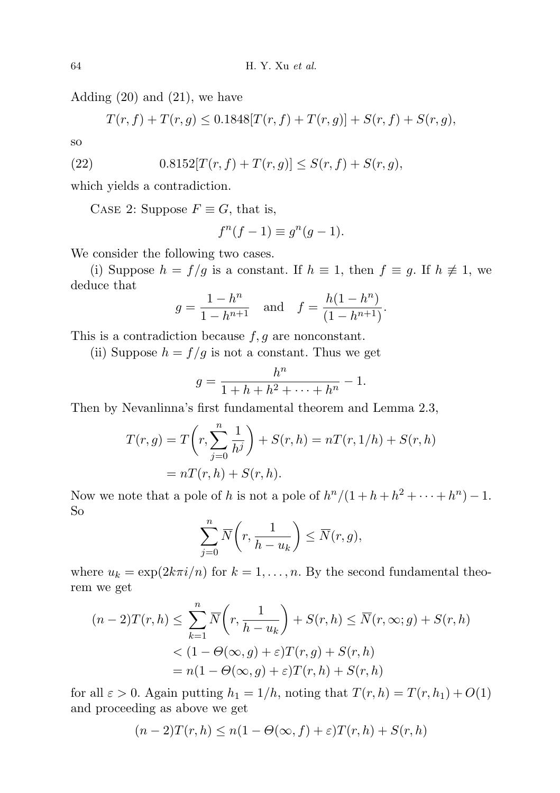Adding (20) and (21), we have

$$
T(r, f) + T(r, g) \le 0.1848[T(r, f) + T(r, g)] + S(r, f) + S(r, g),
$$

so

(22) 
$$
0.8152[T(r, f) + T(r, g)] \leq S(r, f) + S(r, g),
$$

which yields a contradiction.

CASE 2: Suppose  $F \equiv G$ , that is,

$$
f^{n}(f-1) \equiv g^{n}(g-1).
$$

We consider the following two cases.

(i) Suppose  $h = f/g$  is a constant. If  $h \equiv 1$ , then  $f \equiv g$ . If  $h \not\equiv 1$ , we deduce that

$$
g = \frac{1 - h^n}{1 - h^{n+1}}
$$
 and  $f = \frac{h(1 - h^n)}{(1 - h^{n+1})}$ .

This is a contradiction because  $f, g$  are nonconstant.

(ii) Suppose  $h = f/g$  is not a constant. Thus we get

$$
g = \frac{h^n}{1+h+h^2+\cdots+h^n} - 1.
$$

Then by Nevanlinna's first fundamental theorem and Lemma 2.3,

$$
T(r,g) = T\left(r, \sum_{j=0}^{n} \frac{1}{h^j}\right) + S(r,h) = nT(r, 1/h) + S(r,h)
$$

$$
= nT(r,h) + S(r,h).
$$

Now we note that a pole of h is not a pole of  $h^{n}/(1+h+h^{2}+\cdots+h^{n})-1$ . So

$$
\sum_{j=0}^{n} \overline{N}\bigg(r, \frac{1}{h-u_k}\bigg) \le \overline{N}(r, g),
$$

where  $u_k = \exp(2k\pi i/n)$  for  $k = 1, ..., n$ . By the second fundamental theorem we get

$$
(n-2)T(r,h) \leq \sum_{k=1}^{n} \overline{N}\left(r, \frac{1}{h-u_k}\right) + S(r,h) \leq \overline{N}(r,\infty; g) + S(r,h)
$$
  

$$
< (1 - \Theta(\infty, g) + \varepsilon)T(r,g) + S(r,h)
$$
  

$$
= n(1 - \Theta(\infty, g) + \varepsilon)T(r,h) + S(r,h)
$$

for all  $\varepsilon > 0$ . Again putting  $h_1 = 1/h$ , noting that  $T(r, h) = T(r, h_1) + O(1)$ and proceeding as above we get

$$
(n-2)T(r,h) \le n(1-\Theta(\infty, f) + \varepsilon)T(r,h) + S(r,h)
$$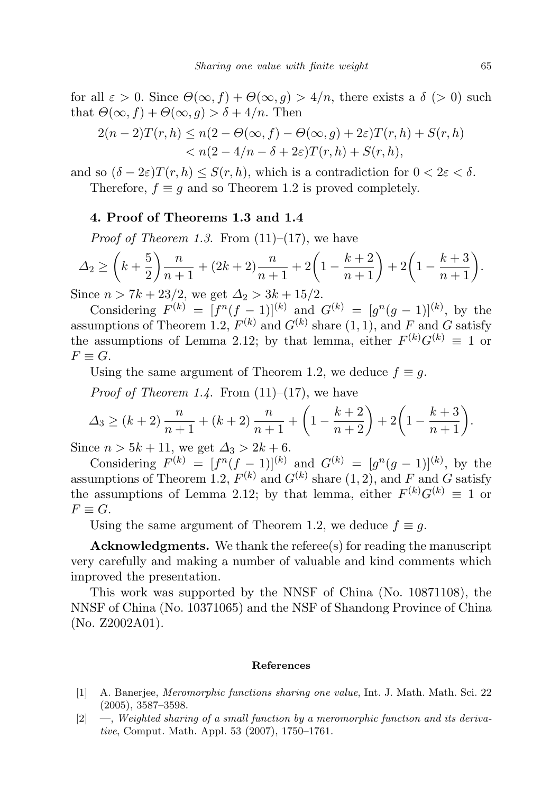for all  $\varepsilon > 0$ . Since  $\Theta(\infty, f) + \Theta(\infty, g) > 4/n$ , there exists a  $\delta > 0$  such that  $\Theta(\infty, f) + \Theta(\infty, g) > \delta + 4/n$ . Then

$$
2(n-2)T(r,h) \le n(2-\Theta(\infty, f) - \Theta(\infty, g) + 2\varepsilon)T(r,h) + S(r,h) < n(2-4/n - \delta + 2\varepsilon)T(r,h) + S(r,h),
$$

and so  $(\delta - 2\varepsilon)T(r, h) \leq S(r, h)$ , which is a contradiction for  $0 < 2\varepsilon < \delta$ . Therefore,  $f \equiv q$  and so Theorem 1.2 is proved completely.

## 4. Proof of Theorems 1.3 and 1.4

*Proof of Theorem 1.3.* From  $(11)–(17)$ , we have

$$
\Delta_2 \ge \left(k + \frac{5}{2}\right) \frac{n}{n+1} + (2k+2) \frac{n}{n+1} + 2\left(1 - \frac{k+2}{n+1}\right) + 2\left(1 - \frac{k+3}{n+1}\right).
$$

Since  $n > 7k + 23/2$ , we get  $\Delta_2 > 3k + 15/2$ .

Considering  $F^{(k)} = [f^n(f-1)]^{(k)}$  and  $G^{(k)} = [g^n(g-1)]^{(k)}$ , by the assumptions of Theorem 1.2,  $F^{(k)}$  and  $G^{(k)}$  share  $(1, 1)$ , and F and G satisfy the assumptions of Lemma 2.12; by that lemma, either  $F^{(k)}G^{(k)} \equiv 1$  or  $F \equiv G.$ 

Using the same argument of Theorem 1.2, we deduce  $f \equiv q$ .

*Proof of Theorem 1.4.* From  $(11)–(17)$ , we have

$$
\Delta_3 \ge (k+2)\frac{n}{n+1} + (k+2)\frac{n}{n+1} + \left(1 - \frac{k+2}{n+2}\right) + 2\left(1 - \frac{k+3}{n+1}\right).
$$

Since  $n > 5k + 11$ , we get  $\Delta_3 > 2k + 6$ .

Considering  $F^{(k)} = [f^n(f-1)]^{(k)}$  and  $G^{(k)} = [g^n(g-1)]^{(k)}$ , by the assumptions of Theorem 1.2,  $F^{(k)}$  and  $G^{(k)}$  share  $(1, 2)$ , and F and G satisfy the assumptions of Lemma 2.12; by that lemma, either  $F^{(k)}G^{(k)} \equiv 1$  or  $F \equiv G.$ 

Using the same argument of Theorem 1.2, we deduce  $f \equiv g$ .

Acknowledgments. We thank the referee(s) for reading the manuscript very carefully and making a number of valuable and kind comments which improved the presentation.

This work was supported by the NNSF of China (No. 10871108), the NNSF of China (No. 10371065) and the NSF of Shandong Province of China (No. Z2002A01).

#### References

- [1] A. Banerjee, Meromorphic functions sharing one value, Int. J. Math. Math. Sci. 22 (2005), 3587–3598.
- $[2] \quad -$ , Weighted sharing of a small function by a meromorphic function and its derivative, Comput. Math. Appl. 53 (2007), 1750–1761.